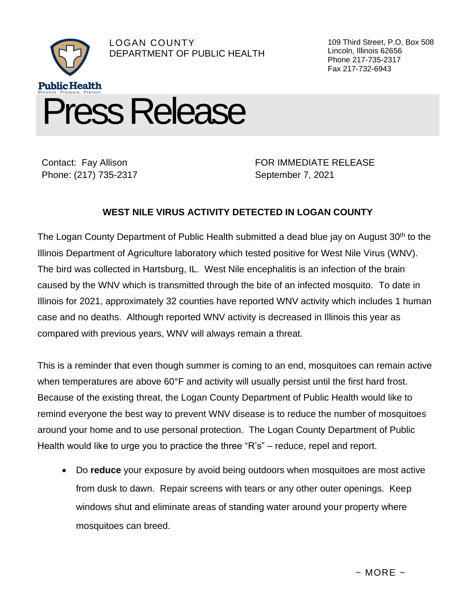

Contact: Fay Allison Phone: (217) 735-2317 FOR IMMEDIATE RELEASE September 7, 2021

109 Third Street, P.O. Box 508

Lincoln, Illinois 62656 Phone 217-735-2317 Fax 217-732-6943

## **WEST NILE VIRUS ACTIVITY DETECTED IN LOGAN COUNTY**

The Logan County Department of Public Health submitted a dead blue jay on August 30<sup>th</sup> to the Illinois Department of Agriculture laboratory which tested positive for West Nile Virus (WNV). The bird was collected in Hartsburg, IL. West Nile encephalitis is an infection of the brain caused by the WNV which is transmitted through the bite of an infected mosquito. To date in Illinois for 2021, approximately 32 counties have reported WNV activity which includes 1 human case and no deaths. Although reported WNV activity is decreased in Illinois this year as compared with previous years, WNV will always remain a threat.

This is a reminder that even though summer is coming to an end, mosquitoes can remain active when temperatures are above 60°F and activity will usually persist until the first hard frost. Because of the existing threat, the Logan County Department of Public Health would like to remind everyone the best way to prevent WNV disease is to reduce the number of mosquitoes around your home and to use personal protection. The Logan County Department of Public Health would like to urge you to practice the three "R's" – reduce, repel and report.

• Do **reduce** your exposure by avoid being outdoors when mosquitoes are most active from dusk to dawn. Repair screens with tears or any other outer openings. Keep windows shut and eliminate areas of standing water around your property where mosquitoes can breed.